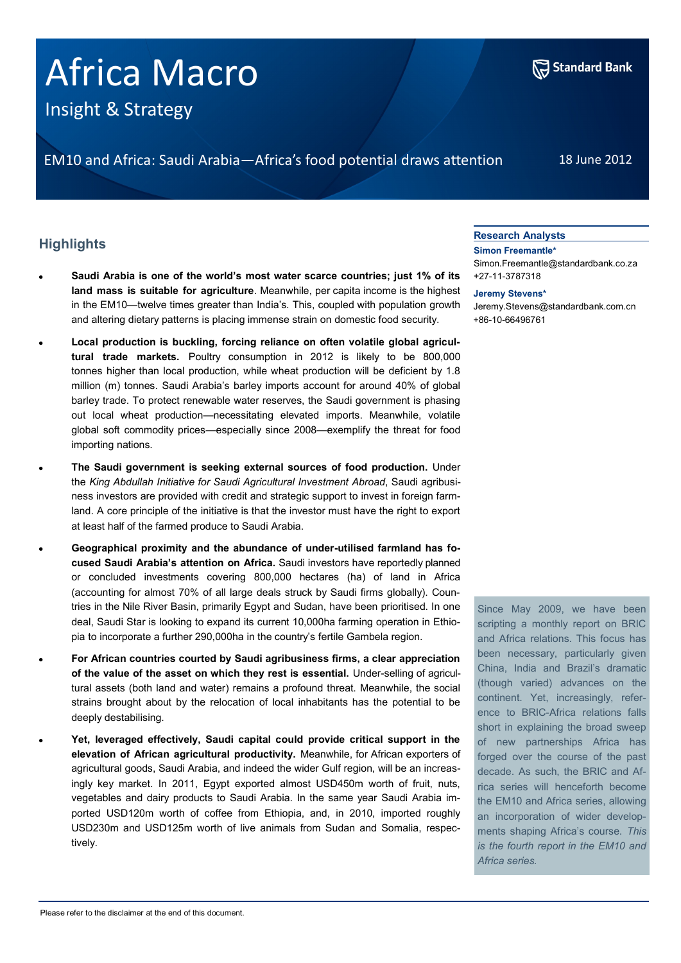# Africa Macro

Insight & Strategy

EM10 and Africa: Saudi Arabia—Africa's food potential draws attention 18 June 2012

## **Highlights**

- **Saudi Arabia is one of the world's most water scarce countries; just 1% of its land mass is suitable for agriculture**. Meanwhile, per capita income is the highest in the EM10—twelve times greater than India's. This, coupled with population growth and altering dietary patterns is placing immense strain on domestic food security.
- **Local production is buckling, forcing reliance on often volatile global agricultural trade markets.** Poultry consumption in 2012 is likely to be 800,000 tonnes higher than local production, while wheat production will be deficient by 1.8 million (m) tonnes. Saudi Arabia's barley imports account for around 40% of global barley trade. To protect renewable water reserves, the Saudi government is phasing out local wheat production—necessitating elevated imports. Meanwhile, volatile global soft commodity prices—especially since 2008—exemplify the threat for food importing nations.
- **The Saudi government is seeking external sources of food production.** Under the *King Abdullah Initiative for Saudi Agricultural Investment Abroad*, Saudi agribusiness investors are provided with credit and strategic support to invest in foreign farmland. A core principle of the initiative is that the investor must have the right to export at least half of the farmed produce to Saudi Arabia.
- **Geographical proximity and the abundance of under-utilised farmland has focused Saudi Arabia's attention on Africa.** Saudi investors have reportedly planned or concluded investments covering 800,000 hectares (ha) of land in Africa (accounting for almost 70% of all large deals struck by Saudi firms globally). Countries in the Nile River Basin, primarily Egypt and Sudan, have been prioritised. In one deal, Saudi Star is looking to expand its current 10,000ha farming operation in Ethiopia to incorporate a further 290,000ha in the country's fertile Gambela region.
- **For African countries courted by Saudi agribusiness firms, a clear appreciation of the value of the asset on which they rest is essential.** Under-selling of agricultural assets (both land and water) remains a profound threat. Meanwhile, the social strains brought about by the relocation of local inhabitants has the potential to be deeply destabilising.
- **Yet, leveraged effectively, Saudi capital could provide critical support in the elevation of African agricultural productivity.** Meanwhile, for African exporters of agricultural goods, Saudi Arabia, and indeed the wider Gulf region, will be an increasingly key market. In 2011, Egypt exported almost USD450m worth of fruit, nuts, vegetables and dairy products to Saudi Arabia. In the same year Saudi Arabia imported USD120m worth of coffee from Ethiopia, and, in 2010, imported roughly USD230m and USD125m worth of live animals from Sudan and Somalia, respectively.

## **Research Analysts**

**Simon Freemantle\*** Simon.Freemantle@standardbank.co.za +27-11-3787318

## **Jeremy Stevens\***

Jeremy.Stevens@standardbank.com.cn +86-10-66496761

Since May 2009, we have been scripting a monthly report on BRIC and Africa relations. This focus has been necessary, particularly given China, India and Brazil's dramatic (though varied) advances on the continent. Yet, increasingly, reference to BRIC-Africa relations falls short in explaining the broad sweep of new partnerships Africa has forged over the course of the past decade. As such, the BRIC and Africa series will henceforth become the EM10 and Africa series, allowing an incorporation of wider developments shaping Africa's course. *This is the fourth report in the EM10 and Africa series.* 

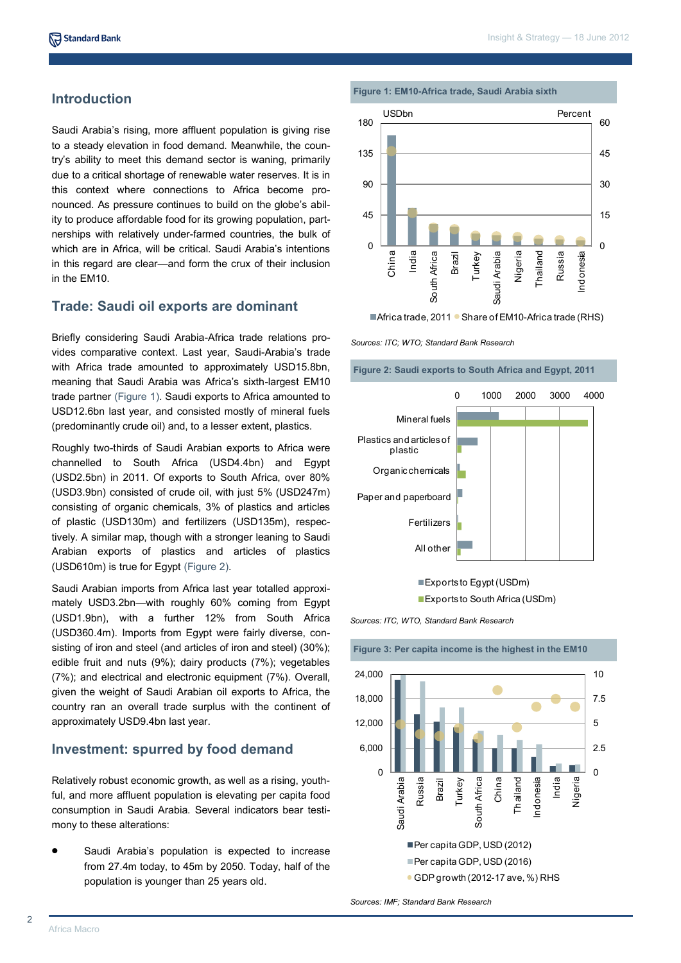## **Introduction**

Saudi Arabia's rising, more affluent population is giving rise to a steady elevation in food demand. Meanwhile, the country's ability to meet this demand sector is waning, primarily due to a critical shortage of renewable water reserves. It is in this context where connections to Africa become pronounced. As pressure continues to build on the globe's ability to produce affordable food for its growing population, partnerships with relatively under-farmed countries, the bulk of which are in Africa, will be critical. Saudi Arabia's intentions in this regard are clear—and form the crux of their inclusion in the EM10.

## **Trade: Saudi oil exports are dominant**

Briefly considering Saudi Arabia-Africa trade relations provides comparative context. Last year, Saudi-Arabia's trade with Africa trade amounted to approximately USD15.8bn, meaning that Saudi Arabia was Africa's sixth-largest EM10 trade partner (Figure 1). Saudi exports to Africa amounted to USD12.6bn last year, and consisted mostly of mineral fuels (predominantly crude oil) and, to a lesser extent, plastics.

Roughly two-thirds of Saudi Arabian exports to Africa were channelled to South Africa (USD4.4bn) and Egypt (USD2.5bn) in 2011. Of exports to South Africa, over 80% (USD3.9bn) consisted of crude oil, with just 5% (USD247m) consisting of organic chemicals, 3% of plastics and articles of plastic (USD130m) and fertilizers (USD135m), respectively. A similar map, though with a stronger leaning to Saudi Arabian exports of plastics and articles of plastics (USD610m) is true for Egypt (Figure 2).

Saudi Arabian imports from Africa last year totalled approximately USD3.2bn—with roughly 60% coming from Egypt (USD1.9bn), with a further 12% from South Africa (USD360.4m). Imports from Egypt were fairly diverse, consisting of iron and steel (and articles of iron and steel) (30%); edible fruit and nuts (9%); dairy products (7%); vegetables (7%); and electrical and electronic equipment (7%). Overall, given the weight of Saudi Arabian oil exports to Africa, the country ran an overall trade surplus with the continent of approximately USD9.4bn last year.

## **Investment: spurred by food demand**

Relatively robust economic growth, as well as a rising, youthful, and more affluent population is elevating per capita food consumption in Saudi Arabia. Several indicators bear testimony to these alterations:

Saudi Arabia's population is expected to increase from 27.4m today, to 45m by 2050. Today, half of the population is younger than 25 years old.





■Africa trade, 2011 ● Share of EM10-Africa trade (RHS)

*Sources: ITC; WTO; Standard Bank Research*

**Figure 2: Saudi exports to South Africa and Egypt, 2011**



Exports to Egypt (USDm)

**Exports to South Africa (USDm)** 

*Sources: ITC, WTO, Standard Bank Research*



*Sources: IMF; Standard Bank Research*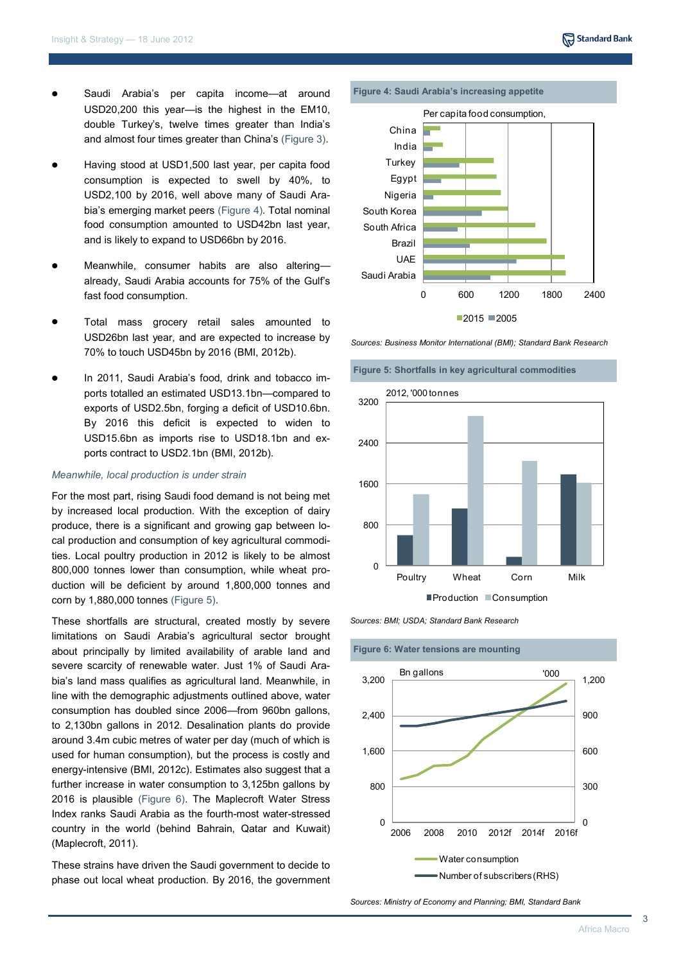- Saudi Arabia's per capita income—at around USD20,200 this year—is the highest in the EM10, double Turkey's, twelve times greater than India's and almost four times greater than China's (Figure 3).
- Having stood at USD1,500 last year, per capita food consumption is expected to swell by 40%, to USD2,100 by 2016, well above many of Saudi Arabia's emerging market peers (Figure 4). Total nominal food consumption amounted to USD42bn last year, and is likely to expand to USD66bn by 2016.
- Meanwhile, consumer habits are also altering already, Saudi Arabia accounts for 75% of the Gulf's fast food consumption.
- Total mass grocery retail sales amounted to USD26bn last year, and are expected to increase by 70% to touch USD45bn by 2016 (BMI, 2012b).
- In 2011, Saudi Arabia's food, drink and tobacco imports totalled an estimated USD13.1bn—compared to exports of USD2.5bn, forging a deficit of USD10.6bn. By 2016 this deficit is expected to widen to USD15.6bn as imports rise to USD18.1bn and exports contract to USD2.1bn (BMI, 2012b).

## *Meanwhile, local production is under strain*

For the most part, rising Saudi food demand is not being met by increased local production. With the exception of dairy produce, there is a significant and growing gap between local production and consumption of key agricultural commodities. Local poultry production in 2012 is likely to be almost 800,000 tonnes lower than consumption, while wheat production will be deficient by around 1,800,000 tonnes and corn by 1,880,000 tonnes (Figure 5).

These shortfalls are structural, created mostly by severe limitations on Saudi Arabia's agricultural sector brought about principally by limited availability of arable land and severe scarcity of renewable water. Just 1% of Saudi Arabia's land mass qualifies as agricultural land. Meanwhile, in line with the demographic adjustments outlined above, water consumption has doubled since 2006—from 960bn gallons, to 2,130bn gallons in 2012. Desalination plants do provide around 3.4m cubic metres of water per day (much of which is used for human consumption), but the process is costly and energy-intensive (BMI, 2012c). Estimates also suggest that a further increase in water consumption to 3,125bn gallons by 2016 is plausible (Figure 6). The Maplecroft Water Stress Index ranks Saudi Arabia as the fourth-most water-stressed country in the world (behind Bahrain, Qatar and Kuwait) (Maplecroft, 2011).

These strains have driven the Saudi government to decide to phase out local wheat production. By 2016, the government



*Sources: Business Monitor International (BMI); Standard Bank Research*





*Sources: BMI; USDA; Standard Bank Research*

**Figure 6: Water tensions are mounting**



*Sources: Ministry of Economy and Planning; BMI, Standard Bank*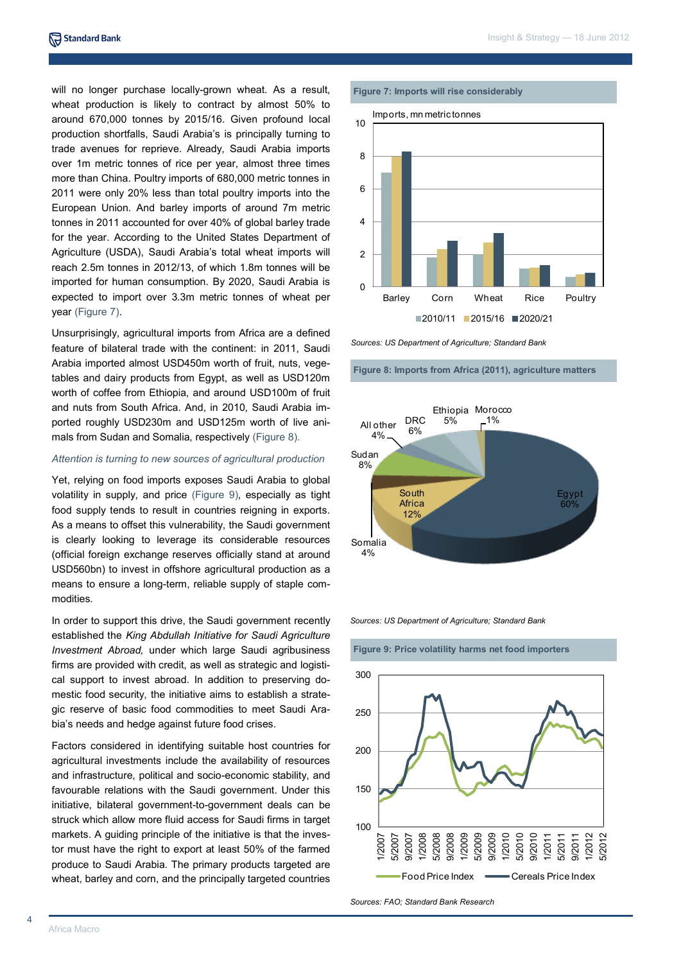will no longer purchase locally-grown wheat. As a result, wheat production is likely to contract by almost 50% to around 670,000 tonnes by 2015/16. Given profound local production shortfalls, Saudi Arabia's is principally turning to trade avenues for reprieve. Already, Saudi Arabia imports over 1m metric tonnes of rice per year, almost three times more than China. Poultry imports of 680,000 metric tonnes in 2011 were only 20% less than total poultry imports into the European Union. And barley imports of around 7m metric tonnes in 2011 accounted for over 40% of global barley trade for the year. According to the United States Department of Agriculture (USDA), Saudi Arabia's total wheat imports will reach 2.5m tonnes in 2012/13, of which 1.8m tonnes will be imported for human consumption. By 2020, Saudi Arabia is expected to import over 3.3m metric tonnes of wheat per year (Figure 7).

Unsurprisingly, agricultural imports from Africa are a defined feature of bilateral trade with the continent: in 2011, Saudi Arabia imported almost USD450m worth of fruit, nuts, vegetables and dairy products from Egypt, as well as USD120m worth of coffee from Ethiopia, and around USD100m of fruit and nuts from South Africa. And, in 2010, Saudi Arabia imported roughly USD230m and USD125m worth of live animals from Sudan and Somalia, respectively (Figure 8).

## *Attention is turning to new sources of agricultural production*

Yet, relying on food imports exposes Saudi Arabia to global volatility in supply, and price (Figure 9), especially as tight food supply tends to result in countries reigning in exports. As a means to offset this vulnerability, the Saudi government is clearly looking to leverage its considerable resources (official foreign exchange reserves officially stand at around USD560bn) to invest in offshore agricultural production as a means to ensure a long-term, reliable supply of staple commodities.

In order to support this drive, the Saudi government recently established the *King Abdullah Initiative for Saudi Agriculture Investment Abroad,* under which large Saudi agribusiness firms are provided with credit, as well as strategic and logistical support to invest abroad. In addition to preserving domestic food security, the initiative aims to establish a strategic reserve of basic food commodities to meet Saudi Arabia's needs and hedge against future food crises.

Factors considered in identifying suitable host countries for agricultural investments include the availability of resources and infrastructure, political and socio-economic stability, and favourable relations with the Saudi government. Under this initiative, bilateral government-to-government deals can be struck which allow more fluid access for Saudi firms in target markets. A guiding principle of the initiative is that the investor must have the right to export at least 50% of the farmed produce to Saudi Arabia. The primary products targeted are wheat, barley and corn, and the principally targeted countries

### **Figure 7: Imports will rise considerably**



*Sources: US Department of Agriculture; Standard Bank* 

**Figure 8: Imports from Africa (2011), agriculture matters**



*Sources: US Department of Agriculture; Standard Bank* 

**Figure 9: Price volatility harms net food importers**



*Sources: FAO; Standard Bank Research*

4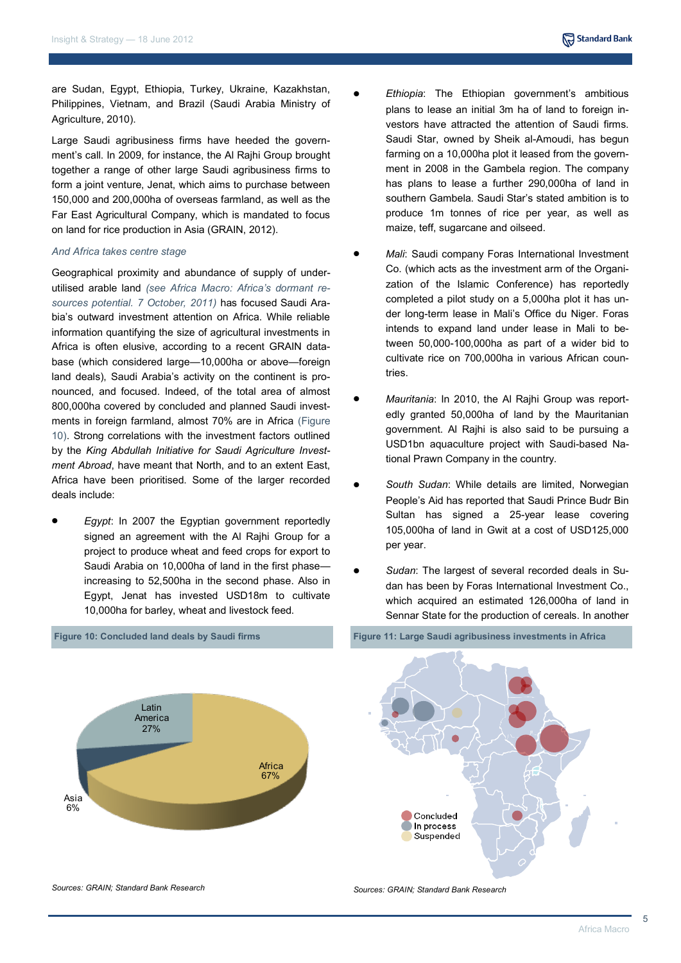are Sudan, Egypt, Ethiopia, Turkey, Ukraine, Kazakhstan, Philippines, Vietnam, and Brazil (Saudi Arabia Ministry of Agriculture, 2010).

Large Saudi agribusiness firms have heeded the government's call. In 2009, for instance, the Al Rajhi Group brought together a range of other large Saudi agribusiness firms to form a joint venture, Jenat, which aims to purchase between 150,000 and 200,000ha of overseas farmland, as well as the Far East Agricultural Company, which is mandated to focus on land for rice production in Asia (GRAIN, 2012).

## *And Africa takes centre stage*

Geographical proximity and abundance of supply of underutilised arable land *(see Africa Macro: Africa's dormant resources potential. 7 October, 2011)* has focused Saudi Arabia's outward investment attention on Africa. While reliable information quantifying the size of agricultural investments in Africa is often elusive, according to a recent GRAIN database (which considered large—10,000ha or above—foreign land deals), Saudi Arabia's activity on the continent is pronounced, and focused. Indeed, of the total area of almost 800,000ha covered by concluded and planned Saudi investments in foreign farmland, almost 70% are in Africa (Figure 10). Strong correlations with the investment factors outlined by the *King Abdullah Initiative for Saudi Agriculture Investment Abroad*, have meant that North, and to an extent East, Africa have been prioritised. Some of the larger recorded deals include:

*Egypt*: In 2007 the Egyptian government reportedly signed an agreement with the Al Rajhi Group for a project to produce wheat and feed crops for export to Saudi Arabia on 10,000ha of land in the first phase increasing to 52,500ha in the second phase. Also in Egypt, Jenat has invested USD18m to cultivate 10,000ha for barley, wheat and livestock feed.

- *Ethiopia*: The Ethiopian government's ambitious plans to lease an initial 3m ha of land to foreign investors have attracted the attention of Saudi firms. Saudi Star, owned by Sheik al-Amoudi, has begun farming on a 10,000ha plot it leased from the government in 2008 in the Gambela region. The company has plans to lease a further 290,000ha of land in southern Gambela. Saudi Star's stated ambition is to produce 1m tonnes of rice per year, as well as maize, teff, sugarcane and oilseed.
- *Mali*: Saudi company Foras International Investment Co. (which acts as the investment arm of the Organization of the Islamic Conference) has reportedly completed a pilot study on a 5,000ha plot it has under long-term lease in Mali's Office du Niger. Foras intends to expand land under lease in Mali to between 50,000-100,000ha as part of a wider bid to cultivate rice on 700,000ha in various African countries.
- *Mauritania*: In 2010, the Al Rajhi Group was report- $\bullet$ edly granted 50,000ha of land by the Mauritanian government. Al Rajhi is also said to be pursuing a USD1bn aquaculture project with Saudi-based National Prawn Company in the country.
- *South Sudan*: While details are limited, Norwegian People's Aid has reported that Saudi Prince Budr Bin Sultan has signed a 25-year lease covering 105,000ha of land in Gwit at a cost of USD125,000 per year.
- *Sudan*: The largest of several recorded deals in Su- $\bullet$ dan has been by Foras International Investment Co., which acquired an estimated 126,000ha of land in Sennar State for the production of cereals. In another



*Sources: GRAIN; Standard Bank Research*

## **Figure 10: Concluded land deals by Saudi firms**

**Figure 11: Large Saudi agribusiness investments in Africa**



*Sources: GRAIN; Standard Bank Research*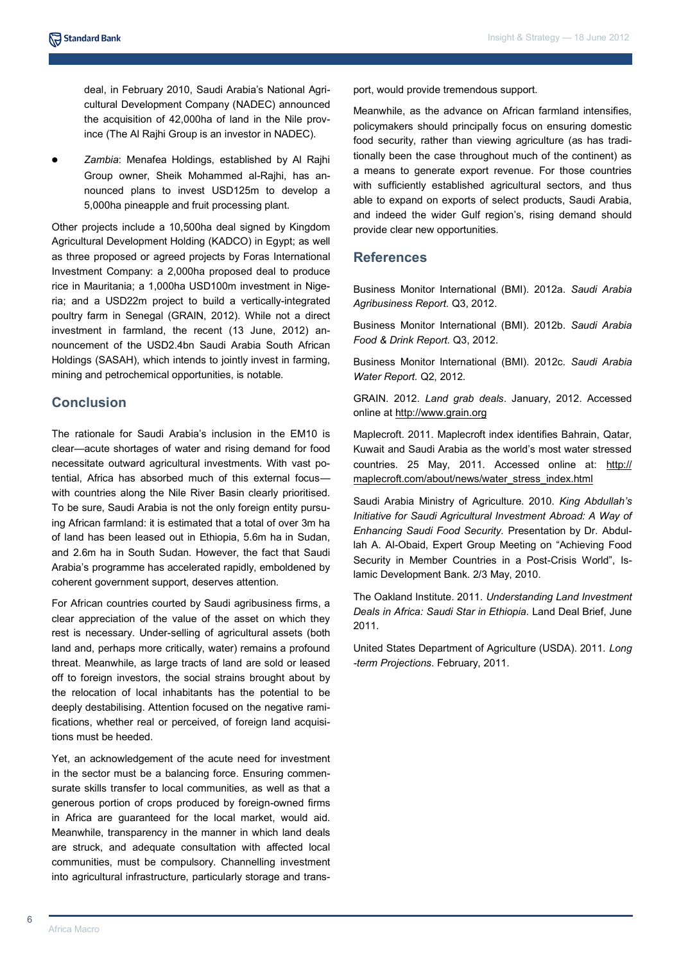deal, in February 2010, Saudi Arabia's National Agricultural Development Company (NADEC) announced the acquisition of 42,000ha of land in the Nile province (The Al Rajhi Group is an investor in NADEC).

*Zambia*: Menafea Holdings, established by Al Rajhi Group owner, Sheik Mohammed al-Rajhi, has announced plans to invest USD125m to develop a 5,000ha pineapple and fruit processing plant.

Other projects include a 10,500ha deal signed by Kingdom Agricultural Development Holding (KADCO) in Egypt; as well as three proposed or agreed projects by Foras International Investment Company: a 2,000ha proposed deal to produce rice in Mauritania; a 1,000ha USD100m investment in Nigeria; and a USD22m project to build a vertically-integrated poultry farm in Senegal (GRAIN, 2012). While not a direct investment in farmland, the recent (13 June, 2012) announcement of the USD2.4bn Saudi Arabia South African Holdings (SASAH), which intends to jointly invest in farming, mining and petrochemical opportunities, is notable.

## **Conclusion**

The rationale for Saudi Arabia's inclusion in the EM10 is clear—acute shortages of water and rising demand for food necessitate outward agricultural investments. With vast potential, Africa has absorbed much of this external focus with countries along the Nile River Basin clearly prioritised. To be sure, Saudi Arabia is not the only foreign entity pursuing African farmland: it is estimated that a total of over 3m ha of land has been leased out in Ethiopia, 5.6m ha in Sudan, and 2.6m ha in South Sudan. However, the fact that Saudi Arabia's programme has accelerated rapidly, emboldened by coherent government support, deserves attention.

For African countries courted by Saudi agribusiness firms, a clear appreciation of the value of the asset on which they rest is necessary. Under-selling of agricultural assets (both land and, perhaps more critically, water) remains a profound threat. Meanwhile, as large tracts of land are sold or leased off to foreign investors, the social strains brought about by the relocation of local inhabitants has the potential to be deeply destabilising. Attention focused on the negative ramifications, whether real or perceived, of foreign land acquisitions must be heeded.

Yet, an acknowledgement of the acute need for investment in the sector must be a balancing force. Ensuring commensurate skills transfer to local communities, as well as that a generous portion of crops produced by foreign-owned firms in Africa are guaranteed for the local market, would aid. Meanwhile, transparency in the manner in which land deals are struck, and adequate consultation with affected local communities, must be compulsory. Channelling investment into agricultural infrastructure, particularly storage and transport, would provide tremendous support.

Meanwhile, as the advance on African farmland intensifies, policymakers should principally focus on ensuring domestic food security, rather than viewing agriculture (as has traditionally been the case throughout much of the continent) as a means to generate export revenue. For those countries with sufficiently established agricultural sectors, and thus able to expand on exports of select products, Saudi Arabia, and indeed the wider Gulf region's, rising demand should provide clear new opportunities.

## **References**

Business Monitor International (BMI). 2012a. *Saudi Arabia Agribusiness Report.* Q3, 2012.

Business Monitor International (BMI). 2012b. *Saudi Arabia Food & Drink Report.* Q3, 2012.

Business Monitor International (BMI). 2012c. *Saudi Arabia Water Report.* Q2, 2012.

GRAIN. 2012. *Land grab deals*. January, 2012. Accessed online at http://www.grain.org

Maplecroft. 2011. Maplecroft index identifies Bahrain, Qatar, Kuwait and Saudi Arabia as the world's most water stressed countries. 25 May, 2011. Accessed online at: http:// maplecroft.com/about/news/water\_stress\_index.html

Saudi Arabia Ministry of Agriculture. 2010. *King Abdullah's Initiative for Saudi Agricultural Investment Abroad: A Way of Enhancing Saudi Food Security.* Presentation by Dr. Abdullah A. Al-Obaid, Expert Group Meeting on "Achieving Food Security in Member Countries in a Post-Crisis World", Islamic Development Bank. 2/3 May, 2010.

The Oakland Institute. 2011. *Understanding Land Investment Deals in Africa: Saudi Star in Ethiopia*. Land Deal Brief, June 2011.

United States Department of Agriculture (USDA). 2011. *Long -term Projections*. February, 2011.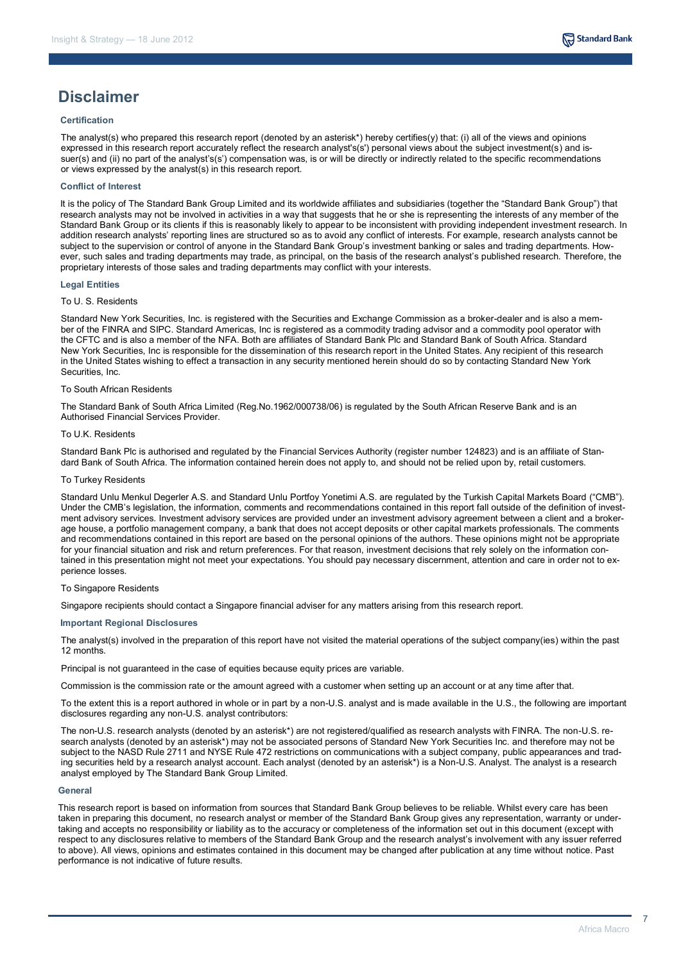

## **Disclaimer**

## **Certification**

The analyst(s) who prepared this research report (denoted by an asterisk\*) hereby certifies(y) that: (i) all of the views and opinions expressed in this research report accurately reflect the research analyst's(s') personal views about the subject investment(s) and issuer(s) and (ii) no part of the analyst's(s') compensation was, is or will be directly or indirectly related to the specific recommendations or views expressed by the analyst(s) in this research report.

## **Conflict of Interest**

It is the policy of The Standard Bank Group Limited and its worldwide affiliates and subsidiaries (together the "Standard Bank Group") that research analysts may not be involved in activities in a way that suggests that he or she is representing the interests of any member of the Standard Bank Group or its clients if this is reasonably likely to appear to be inconsistent with providing independent investment research. In addition research analysts' reporting lines are structured so as to avoid any conflict of interests. For example, research analysts cannot be subject to the supervision or control of anyone in the Standard Bank Group's investment banking or sales and trading departments. However, such sales and trading departments may trade, as principal, on the basis of the research analyst's published research. Therefore, the proprietary interests of those sales and trading departments may conflict with your interests.

#### **Legal Entities**

#### To U. S. Residents

Standard New York Securities, Inc. is registered with the Securities and Exchange Commission as a broker-dealer and is also a member of the FINRA and SIPC. Standard Americas, Inc is registered as a commodity trading advisor and a commodity pool operator with the CFTC and is also a member of the NFA. Both are affiliates of Standard Bank Plc and Standard Bank of South Africa. Standard New York Securities, Inc is responsible for the dissemination of this research report in the United States. Any recipient of this research in the United States wishing to effect a transaction in any security mentioned herein should do so by contacting Standard New York Securities, Inc.

#### To South African Residents

The Standard Bank of South Africa Limited (Reg.No.1962/000738/06) is regulated by the South African Reserve Bank and is an Authorised Financial Services Provider.

#### To U.K. Residents

Standard Bank Plc is authorised and regulated by the Financial Services Authority (register number 124823) and is an affiliate of Standard Bank of South Africa. The information contained herein does not apply to, and should not be relied upon by, retail customers.

### To Turkey Residents

Standard Unlu Menkul Degerler A.S. and Standard Unlu Portfoy Yonetimi A.S. are regulated by the Turkish Capital Markets Board ("CMB"). Under the CMB's legislation, the information, comments and recommendations contained in this report fall outside of the definition of investment advisory services. Investment advisory services are provided under an investment advisory agreement between a client and a brokerage house, a portfolio management company, a bank that does not accept deposits or other capital markets professionals. The comments and recommendations contained in this report are based on the personal opinions of the authors. These opinions might not be appropriate for your financial situation and risk and return preferences. For that reason, investment decisions that rely solely on the information contained in this presentation might not meet your expectations. You should pay necessary discernment, attention and care in order not to experience losses.

#### To Singapore Residents

Singapore recipients should contact a Singapore financial adviser for any matters arising from this research report.

## **Important Regional Disclosures**

The analyst(s) involved in the preparation of this report have not visited the material operations of the subject company(ies) within the past 12 months.

Principal is not guaranteed in the case of equities because equity prices are variable.

Commission is the commission rate or the amount agreed with a customer when setting up an account or at any time after that.

To the extent this is a report authored in whole or in part by a non-U.S. analyst and is made available in the U.S., the following are important disclosures regarding any non-U.S. analyst contributors:

The non-U.S. research analysts (denoted by an asterisk\*) are not registered/qualified as research analysts with FINRA. The non-U.S. research analysts (denoted by an asterisk\*) may not be associated persons of Standard New York Securities Inc. and therefore may not be subject to the NASD Rule 2711 and NYSE Rule 472 restrictions on communications with a subject company, public appearances and trading securities held by a research analyst account. Each analyst (denoted by an asterisk\*) is a Non-U.S. Analyst. The analyst is a research analyst employed by The Standard Bank Group Limited.

#### **General**

This research report is based on information from sources that Standard Bank Group believes to be reliable. Whilst every care has been taken in preparing this document, no research analyst or member of the Standard Bank Group gives any representation, warranty or undertaking and accepts no responsibility or liability as to the accuracy or completeness of the information set out in this document (except with respect to any disclosures relative to members of the Standard Bank Group and the research analyst's involvement with any issuer referred to above). All views, opinions and estimates contained in this document may be changed after publication at any time without notice. Past performance is not indicative of future results.